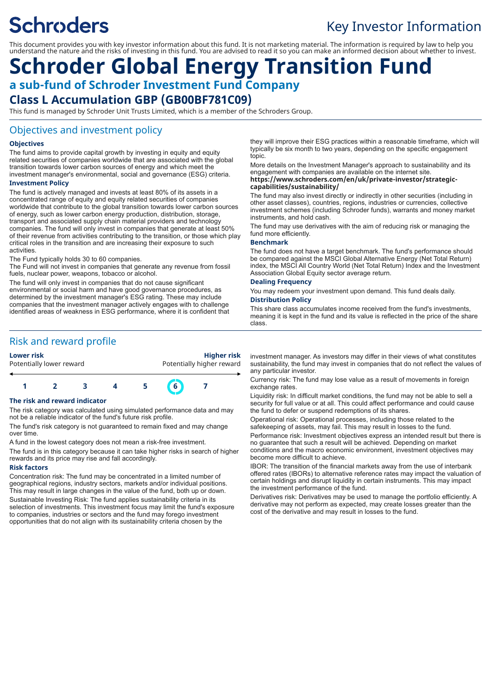# **Schroders**

## Key Investor Information

This document provides you with key investor information about this fund. It is not marketing material. The information is required by law to help you understand the nature and the risks of investing in this fund. You are advised to read it so you can make an informed decision about whether to invest.

## **Schroder Global Energy Transition Fund a sub-fund of Schroder Investment Fund Company**

## **Class L Accumulation GBP (GB00BF781C09)**

This fund is managed by Schroder Unit Trusts Limited, which is a member of the Schroders Group.

## Objectives and investment policy

#### **Objectives**

The fund aims to provide capital growth by investing in equity and equity related securities of companies worldwide that are associated with the global transition towards lower carbon sources of energy and which meet the investment manager's environmental, social and governance (ESG) criteria.

#### **Investment Policy**

The fund is actively managed and invests at least 80% of its assets in a concentrated range of equity and equity related securities of companies worldwide that contribute to the global transition towards lower carbon sources of energy, such as lower carbon energy production, distribution, storage, transport and associated supply chain material providers and technology companies. The fund will only invest in companies that generate at least 50% of their revenue from activities contributing to the transition, or those which play critical roles in the transition and are increasing their exposure to such activities.

The Fund typically holds 30 to 60 companies.

The Fund will not invest in companies that generate any revenue from fossil fuels, nuclear power, weapons, tobacco or alcohol.

The fund will only invest in companies that do not cause significant environmental or social harm and have good governance procedures, as determined by the investment manager's ESG rating. These may include companies that the investment manager actively engages with to challenge identified areas of weakness in ESG performance, where it is confident that

## Risk and reward profile

| <b>Lower risk</b> |  |
|-------------------|--|
|                   |  |

#### **Lower risk Higher risk** Potentially lower reward **Potentially higher reward**



#### **The risk and reward indicator**

The risk category was calculated using simulated performance data and may not be a reliable indicator of the fund's future risk profile.

The fund's risk category is not guaranteed to remain fixed and may change over time.

A fund in the lowest category does not mean a risk-free investment.

The fund is in this category because it can take higher risks in search of higher rewards and its price may rise and fall accordingly.

#### **Risk factors**

Concentration risk: The fund may be concentrated in a limited number of geographical regions, industry sectors, markets and/or individual positions. This may result in large changes in the value of the fund, both up or down. Sustainable Investing Risk: The fund applies sustainability criteria in its selection of investments. This investment focus may limit the fund's exposure to companies, industries or sectors and the fund may forego investment opportunities that do not align with its sustainability criteria chosen by the

they will improve their ESG practices within a reasonable timeframe, which will typically be six month to two years, depending on the specific engagement topic.

More details on the Investment Manager's approach to sustainability and its engagement with companies are available on the internet site. **https://www.schroders.com/en/uk/private-investor/strategiccapabilities/sustainability/**

The fund may also invest directly or indirectly in other securities (including in other asset classes), countries, regions, industries or currencies, collective investment schemes (including Schroder funds), warrants and money market instruments, and hold cash.

The fund may use derivatives with the aim of reducing risk or managing the fund more efficiently.

#### **Benchmark**

The fund does not have a target benchmark. The fund's performance should be compared against the MSCI Global Alternative Energy (Net Total Return) index, the MSCI All Country World (Net Total Return) Index and the Investment Association Global Equity sector average return.

#### **Dealing Frequency**

You may redeem your investment upon demand. This fund deals daily. **Distribution Policy**

This share class accumulates income received from the fund's investments, meaning it is kept in the fund and its value is reflected in the price of the share class.

investment manager. As investors may differ in their views of what constitutes sustainability, the fund may invest in companies that do not reflect the values of any particular investor.

Currency risk: The fund may lose value as a result of movements in foreign exchange rates.

Liquidity risk: In difficult market conditions, the fund may not be able to sell a security for full value or at all. This could affect performance and could cause the fund to defer or suspend redemptions of its shares.

Operational risk: Operational processes, including those related to the safekeeping of assets, may fail. This may result in losses to the fund.

Performance risk: Investment objectives express an intended result but there is no guarantee that such a result will be achieved. Depending on market conditions and the macro economic environment, investment objectives may become more difficult to achieve.

IBOR: The transition of the financial markets away from the use of interbank offered rates (IBORs) to alternative reference rates may impact the valuation of certain holdings and disrupt liquidity in certain instruments. This may impact the investment performance of the fund.

Derivatives risk: Derivatives may be used to manage the portfolio efficiently. A derivative may not perform as expected, may create losses greater than the cost of the derivative and may result in losses to the fund.